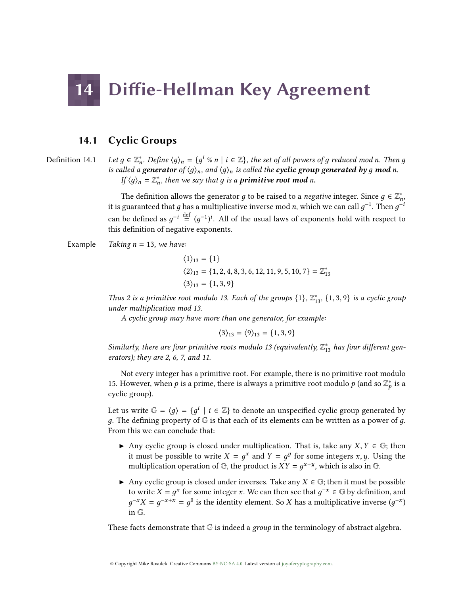# Diffie-Hellman Key Agreement

## 14.1 Cyclic Groups

Definition 14.1

\*,. Define  $\langle g \rangle_n = \{ g^i \otimes n \mid i \in \mathbb{Z} \}$ , the set of all powers of g reduced mod n. Then g<br>user ator of  $\langle g \rangle$  and  $\langle g \rangle$  is called the cyclic group generated by a mod n is called a generator of  $\langle g \rangle_n$ , and  $\langle g \rangle_n$  is called the cyclic group generated by g mod n.<br>If  $\langle g \rangle_n = \mathbb{Z}^*$ , then we say that a is a **primitive root mod** n. If  $\langle g \rangle_n = \mathbb{Z}_n^*$ , then we say that g is a **primitive root mod** n.

The definition allows the generator *g* to be raised to a *negative* integer. Since  $g \in \mathbb{Z}_n^*$ , guaranteed that *a* has a multiplicative inverse mod *n*, which we can call  $g^{-1}$ . Then  $g^{-i}$ it is guaranteed that *g* has a multiplicative inverse mod *n*, which we can call  $g^{-1}$ . Then  $g^{-i}$ can be defined as  $g^{-i} \stackrel{\text{def}}{=} (g^{-1})^i$ . All of the usual laws of exponents hold with respect to this definition of persitive exponents this definition of negative exponents.

Example Taking  $n = 13$ , we have:

 $\langle 1 \rangle_{13} = \{1\}$  $\langle 2 \rangle_{13} = \{1, 2, 4, 8, 3, 6, 12, 11, 9, 5, 10, 7\} = \mathbb{Z}_{13}^*$  $\langle 3 \rangle_{13} = \{1, 3, 9\}$ 

Thus 2 is a primitive root modulo 13. Each of the groups  $\{1\}$ ,  $\mathbb{Z}_{13}^*$ ,  $\{1,3,9\}$  is a cyclic group<br>under multiplication mod 13 under multiplication mod 13.

A cyclic group may have more than one generator, for example:

$$
\langle 3 \rangle_{13} = \langle 9 \rangle_{13} = \{1, 3, 9\}
$$

Similarly, there are four primitive roots modulo 13 (equivalently,  $\mathbb{Z}_{13}^{*}$  has four different generators); they are 2, 6, 7, and 11.

Not every integer has a primitive root. For example, there is no primitive root modulo 15. However, when *p* is a prime, there is always a primitive root modulo *p* (and so  $\mathbb{Z}_p^*$  is a cyclic group)  $\overline{r}$ cyclic group).

Let us write  $\mathbb{G} = \langle g \rangle = \{ g^i \mid i \in \mathbb{Z} \}$  to denote an unspecified cyclic group generated by q. The defining property of  $\mathbb G$  is that each of its elements can be written as a power of q. From this we can conclude that:

- Any cyclic group is closed under multiplication. That is, take any  $X, Y \in \mathbb{G}$ ; then it must be possible to write  $X = g^x$  and  $Y = g^y$  for some integers x, y. Using the multiplication operation of  $\mathbb{G}$  the product is  $XY = g^{x+y}$  which is also in  $\mathbb{G}$ multiplication operation of G, the product is  $XY = g^{x+y}$ , which is also in G.
- Any cyclic group is closed under inverses. Take any  $X \in \mathbb{G}$ ; then it must be possible to write  $X = g^x$  for some integer x. We can then see that  $g^{-x} \in \mathbb{G}$  by definition, and  $g^{-x}X = g^{-x+x} = g^0$  is the identity element. So X has a multiplicative inverse  $(g^{-x})$ д in G.  $\tau^{-x}X = g^{-x+x} = g^0$  is the identity element. So X has a multiplicative inverse  $(g^{-x})$

These facts demonstrate that  $G$  is indeed a *group* in the terminology of abstract algebra.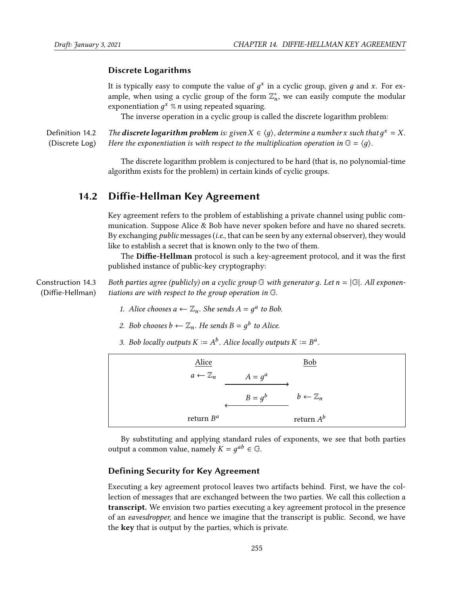#### Discrete Logarithms

It is typically easy to compute the value of  $g^x$  in a cyclic group, given g and x. For ex-<br>apple, when using a cyclic group of the form  $\mathbb{Z}^*$ , we can easily compute the modular ample, when using a cyclic group of the form  $\mathbb{Z}_n^*$ , we can easily compute the modular exponentiation  $g^x$  % *n* using repeated squaring.<br>The inverse operation in a cyclic group is con-

The inverse operation in a cyclic group is called the discrete logarithm problem:

Definition 14.2 (Discrete Log) The **discrete logarithm problem** is: given  $X \in \langle g \rangle$ , determine a number x such that  $g^x = X$ .<br>Here the exponentiation is with respect to the multiplication operation in  $\mathbb{G} - \langle g \rangle$ Here the exponentiation is with respect to the multiplication operation in  $\mathbb{G} = \langle q \rangle$ .

> The discrete logarithm problem is conjectured to be hard (that is, no polynomial-time algorithm exists for the problem) in certain kinds of cyclic groups.

## 14.2 Diffie-Hellman Key Agreement

Key agreement refers to the problem of establishing a private channel using public communication. Suppose Alice & Bob have never spoken before and have no shared secrets. By exchanging *public* messages (*i.e.*, that can be seen by any external observer), they would like to establish a secret that is known only to the two of them.

The Diffie-Hellman protocol is such a key-agreement protocol, and it was the first published instance of public-key cryptography:

Construction 14.3 (Diffie-Hellman) Both parties agree (publicly) on a cyclic group  $\mathbb G$  with generator q. Let  $n = |\mathbb G|$ . All exponentiations are with respect to the group operation in G.

- 1. Alice chooses  $a \leftarrow \mathbb{Z}_n$ . She sends  $A = g^a$  to Bob.
- 2. Bob chooses  $b \leftarrow \mathbb{Z}_n$ . He sends  $B = g^b$  to Alice.
- 3. Bob locally outputs  $K := A^b$ . Alice locally outputs  $K := B^a$ .

| Alice                       |                                       | Bob          |  |
|-----------------------------|---------------------------------------|--------------|--|
| $a \leftarrow \mathbb{Z}_n$ | $A = g^a$                             |              |  |
|                             | $B = g^b$ $b \leftarrow \mathbb{Z}_n$ |              |  |
| return $B^a$                |                                       | return $A^b$ |  |
|                             |                                       |              |  |

By substituting and applying standard rules of exponents, we see that both parties output a common value, namely  $K = g^{ab} \in \mathbb{G}$ .

#### Defining Security for Key Agreement

Executing a key agreement protocol leaves two artifacts behind. First, we have the collection of messages that are exchanged between the two parties. We call this collection a transcript. We envision two parties executing a key agreement protocol in the presence of an eavesdropper, and hence we imagine that the transcript is public. Second, we have the key that is output by the parties, which is private.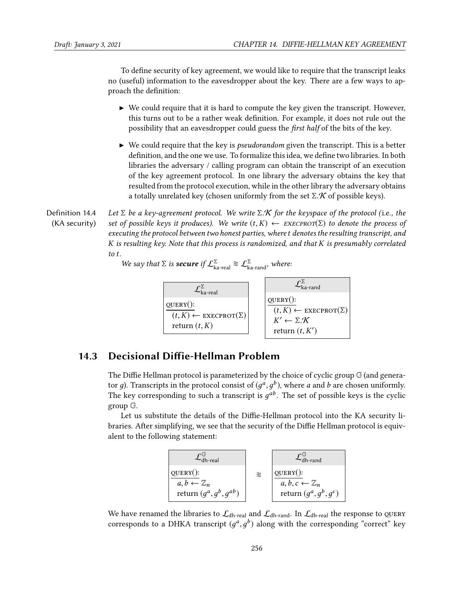To define security of key agreement, we would like to require that the transcript leaks no (useful) information to the eavesdropper about the key. There are a few ways to approach the definition:

- $\triangleright$  We could require that it is hard to compute the key given the transcript. However, this turns out to be a rather weak denition. For example, it does not rule out the possibility that an eavesdropper could guess the first half of the bits of the key.
- $\triangleright$  We could require that the key is *pseudorandom* given the transcript. This is a better definition, and the one we use. To formalize this idea, we define two libraries. In both libraries the adversary / calling program can obtain the transcript of an execution of the key agreement protocol. In one library the adversary obtains the key that resulted from the protocol execution, while in the other library the adversary obtains a totally unrelated key (chosen uniformly from the set  $\Sigma$ .  $K$  of possible keys).

Definition 14.4 (KA security) Let  $\Sigma$  be a key-agreement protocol. We write  $\Sigma \mathcal{K}$  for the keyspace of the protocol (i.e., the set of possible keys it produces). We write  $(t, K) \leftarrow$  EXECPROT( $\Sigma$ ) to denote the process of executing the protocol between two honest parties, where t denotes the resulting transcript, and K is resulting key. Note that this process is randomized, and that  $K$  is presumably correlated to t.

We say that  $\Sigma$  is **secure** if  $\mathcal{L}_{\text{ka-real}}^{\Sigma} \approx \mathcal{L}_{\text{ka-random}}^{\Sigma}$ , where:



## 14.3 Decisional Diffie-Hellman Problem

The Diffie Hellman protocol is parameterized by the choice of cyclic group  $\mathbb{G}$  (and generator g). Transcripts in the protocol consist of  $(g^a, g^b)$ , where a and b are chosen uniformly.<br>The key corresponding to such a transcript is  $g^{ab}$ . The set of possible keys is the ovelic The key corresponding to such a transcript is  $g^{ab}$ . The set of possible keys is the cyclic group  $\mathbb{G}$ group G.

Let us substitute the details of the Diffie-Hellman protocol into the KA security libraries. After simplifying, we see that the security of the Diffie Hellman protocol is equivalent to the following statement:



We have renamed the libraries to  $\mathcal{L}_{dh\text{-real}}$  and  $\mathcal{L}_{dh\text{-rand}}$ . In  $\mathcal{L}_{dh\text{-real}}$  the response to QUERY corresponds to a DHKA transcript  $(g^a, g^b)$  along with the corresponding "correct" key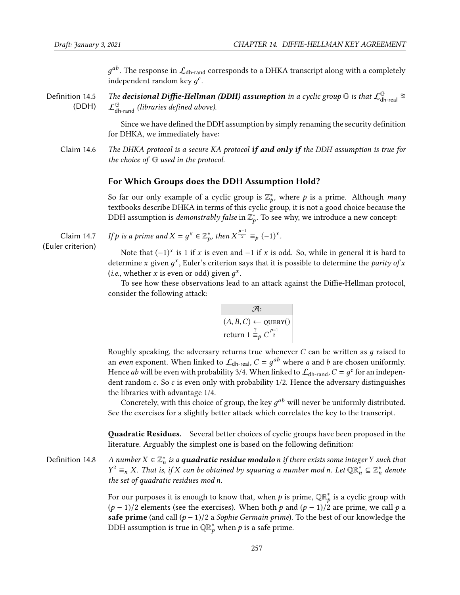$\frac{1}{2}$  independent random key  $g^c$ .  $q^{ab}$ . The response in  $\mathcal{L}_{dh\text{-rand}}$  corresponds to a DHKA transcript along with a completely

Definition 14.5 (DDH) The decisional Diffie-Hellman (DDH) assumption in a cyclic group  $\mathbb G$  is that  $\mathcal L_{\text{dh-real}}^{\mathbb G}$  ≋  $\mathcal{L}^{\mathbb{G}}_{\text{dh-rand}}$  (libraries defined above).

> Since we have defined the DDH assumption by simply renaming the security definition for DHKA, we immediately have:

Claim 14.6 The DHKA protocol is a secure KA protocol if and only if the DDH assumption is true for the choice of G used in the protocol.

#### For Which Groups does the DDH Assumption Hold?

So far our only example of a cyclic group is  $\mathbb{Z}_p^*$ , where p is a prime. Although many textbooks describe DHKA in terms of this cyclic group it is not a good choice because the textbooks describe DHKA in terms of this cyclic group, it is not a good choice because the DDH assumption is *demonstrably false* in  $\mathbb{Z}_p^*$ . To see why, we introduce a new concept:

 $\mathbf{r}$ 

Claim 14.7 (Euler criterion) If p is a prime and  $X = g^x \in \mathbb{Z}_p^*$ \*, then  $X^{\frac{p-1}{2}} \equiv_p (-1)^x$ .

Note that  $(-1)^x$  is 1 if x is even and −1 if x is odd. So, while in general it is hard to<br>imine x given  $a^x$ . Evler's gritarion sove that it is possible to determine the parity of x determine x given  $g^x$ , Euler's criterion says that it is possible to determine the *parity of* x (*i.e.*, whether x is even or odd) given  $g^x$ .<br>To see how these observations load

To see how these observations lead to an attack against the Diffie-Hellman protocol, consider the following attack:

$$
\mathcal{A}: \\
 (A, B, C) \leftarrow \text{QUERV} \\
 \text{return } 1 \stackrel{?}{=}{}_{p} C^{\frac{p-1}{2}}
$$

Roughly speaking, the adversary returns true whenever  $C$  can be written as  $q$  raised to an *even* exponent. When linked to  $\mathcal{L}_{dh}\text{-real}$ ,  $C = g^{ab}$  where *a* and *b* are chosen uniformly.<br>Hence ab will be even with probability 3/4. When linked to  $\int_{\mathbb{R}^d}$  ,  $\int_{\mathbb{R}^d} C = a^c$  for an independent Hence *ab* will be even with probability 3/4. When linked to  $\mathcal{L}_{dh\text{-rand}}$ ,  $C = g^c$  for an independent random  $c$ . So  $c$  is even only with probability 1/2. Hence the adversory distinguishes dent random  $c$ . So  $c$  is even only with probability  $1/2$ . Hence the adversary distinguishes the libraries with advantage 1/4.

Concretely, with this choice of group, the key  $g^{ab}$  will never be uniformly distributed.<br>the exercises for a slightly better attack which correlates the key to the transcript See the exercises for a slightly better attack which correlates the key to the transcript.

Quadratic Residues. Several better choices of cyclic groups have been proposed in the literature. Arguably the simplest one is based on the following definition:

Definition 14.8 A number  $X \in \mathbb{Z}_n^*$  is a **quadratic residue modulo** n if there exists some integer Y such that  $Y^2 = X$  That is if X can be obtained by squaring a number mod n. Let  $\mathbb{QR}^* \subset \mathbb{Z}^*$  denote  $2 \equiv_n X$ . That is, if X can be obtained by squaring a number mod n. Let QR<sup>\*</sup><sub>n</sub> ⊆  $\mathbb{Z}_n^*$  denote the set of quadratic residues mod n.

> For our purposes it is enough to know that, when p is prime,  $\mathbb{QR}_p^*$  is a cyclic group with  $(n-1)/2$  elements (see the exercises). When both p and  $(n-1)/2$  are prime, we call p a  $(p-1)/2$  elements (see the exercises). When both p and  $(p-1)/2$  are prime, we call p a safe prime (and call  $(p − 1)/2$  a *Sophie Germain prime*). To the best of our knowledge the DDH assumption is true in  $\mathbb{QR}_p^*$  when  $p$  is a safe prime.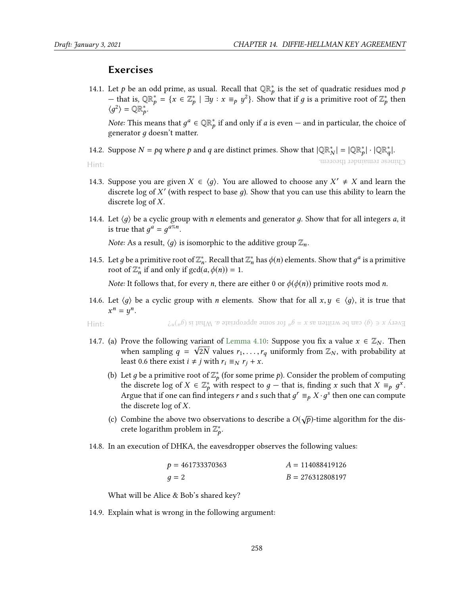### Exercises

14.1. Let *p* be an odd prime, as usual. Recall that  $\mathbb{QR}_p^*$  is the set of quadratic residues mod *p*<br>  $\mathbb{Z}_p^*$  then the set of  $\mathbb{Z}^*$  then — that is,  $\mathbb{Q} \mathbb{R}_p^* = \{x \in \mathbb{Z}_p^* \mid \exists y : x \equiv_p y^2\}$ . Show that if *g* is a primitive root of  $\mathbb{Z}_p^*$  then  $\{x^2\} - \mathbb{Q} \mathbb{R}^*$  $\mathbf{r}$  $\mathbf{r}$  $\langle g^2 \rangle = \mathbb{Q} \mathbb{R}_p^*$ .

*Note:* This means that  $g^a \in \mathbb{QR}_p^*$  if and only if a is even — and in particular, the choice of generator a doesn't matter  $\overline{r}$ generator g doesn't matter.

14.2. Suppose  $N = pq$  where  $p$  and  $q$  are distinct primes. Show that  $|\mathbb{QR}_N^*| = |\mathbb{QR}_p^*| \cdot |\mathbb{QR}_q^*|$ .

Hint:

N p q Chinese remainder theorem.

- 14.3. Suppose you are given  $X \in \langle g \rangle$ . You are allowed to choose any  $X' \neq X$  and learn the discrete log of  $Y'$  (with respect to base a). Show that you can use this ability to learn the discrete log of X' (with respect to base  $g$ ). Show that you can use this ability to learn the discrete log of X discrete log of X.
- 14.4. Let  $\langle g \rangle$  be a cyclic group with *n* elements and generator g. Show that for all integers a, it is true that  $g^a = g^{a \cdot \pi a}$ .

*Note:* As a result,  $\langle q \rangle$  is isomorphic to the additive group  $\mathbb{Z}_n$ .

14.5. Let g be a primitive root of  $\mathbb{Z}_n^*$ . Recall that  $\mathbb{Z}_n^*$  has  $\phi(n)$  elements. Show that  $g^a$  is a primitive root of  $\mathbb{Z}^*$  if and only if  $gcd(g, \phi(n)) = 1$ root of  $\mathbb{Z}_n^*$  if and only if  $gcd(a, \phi(n)) = 1$ .

*Note:* It follows that, for every *n*, there are either 0 or  $\phi(\phi(n))$  primitive roots mod *n*.

14.6. Let  $\langle g \rangle$  be a cyclic group with n elements. Show that for all  $x, y \in \langle g \rangle$ , it is true that  $n = y^n$ .

Hint: Every  $x \in \langle g \rangle$  can be written as  $x = g^a$  for some appropriate  $a$ . What is  $\phi^{a/p}$ 

- 14.7. (a) Prove the following variant of [Lemma 4.10:](#page--1-0) Suppose you fix a value  $x \in \mathbb{Z}_N$ . Then when sampling  $a = \sqrt{2N}$  values  $r_n = r_n$  uniformly from  $\mathbb{Z}_N$ , with probability at when sampling  $q = \sqrt{2N}$  values  $r_1, \ldots, r_q$  uniformly from  $\mathbb{Z}_N$ , with probability at least 0.6 there exist  $i \neq j$  with  $r_i \equiv x, r_i + x$ least 0.6 there exist  $i \neq j$  with  $r_i \equiv_N r_i + x$ .
	- (b) Let g be a primitive root of  $\mathbb{Z}_p^*$  (for some prime p). Consider the problem of computing<br>the discrete log of  $Y \in \mathbb{Z}^*$  with respect to  $a$  that is finding x such that  $Y = a^x$ the discrete log of  $X \in \mathbb{Z}_p^*$  with respect to  $g$  — that is, finding x such that  $X \equiv_p g^x$ .<br>A ray that if one can find integers x and s such that  $g^r = X \cdot g^s$  then one can compute Argue that if one can find integers r and s such that  $g^r \equiv_p X \cdot g^s$  then one can compute the discrete log of Y the discrete  $log of X$ .
	- (c) Combine the above two observations to describe a  $O(\sqrt{p})$ -time algorithm for the dis-<br>crate logarithm problem in  $\mathbb{Z}^*$ crete logarithm problem in  $\mathbb{Z}_p^*$ .  $\mathbf{r}$
- 14.8. In an execution of DHKA, the eavesdropper observes the following values:

| $p = 461733370363$ | $A = 114088419126$ |
|--------------------|--------------------|
| $q=2$              | $B = 276312808197$ |

What will be Alice & Bob's shared key?

14.9. Explain what is wrong in the following argument: